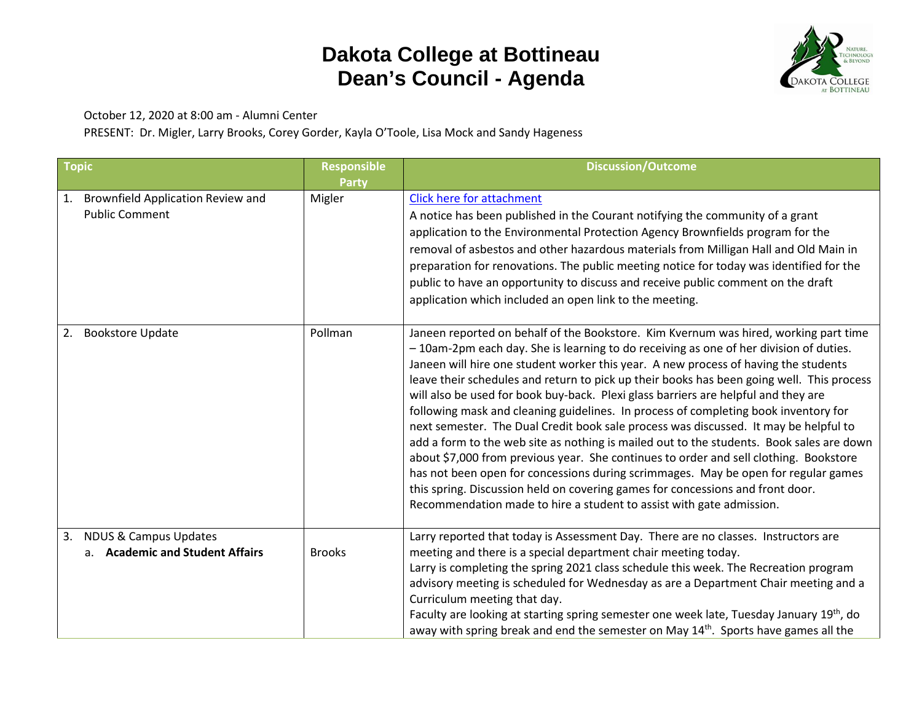## **Dakota College at Bottineau Dean's Council - Agenda**



October 12, 2020 at 8:00 am - Alumni Center

PRESENT: Dr. Migler, Larry Brooks, Corey Gorder, Kayla O'Toole, Lisa Mock and Sandy Hageness

| <b>Topic</b>                                                              | <b>Responsible</b>     | <b>Discussion/Outcome</b>                                                                                                                                                                                                                                                                                                                                                                                                                                                                                                                                                                                                                                                                                                                                                                                                                                                                                                                                                                                                                                                    |
|---------------------------------------------------------------------------|------------------------|------------------------------------------------------------------------------------------------------------------------------------------------------------------------------------------------------------------------------------------------------------------------------------------------------------------------------------------------------------------------------------------------------------------------------------------------------------------------------------------------------------------------------------------------------------------------------------------------------------------------------------------------------------------------------------------------------------------------------------------------------------------------------------------------------------------------------------------------------------------------------------------------------------------------------------------------------------------------------------------------------------------------------------------------------------------------------|
| <b>Brownfield Application Review and</b><br>1.<br><b>Public Comment</b>   | <b>Party</b><br>Migler | <b>Click here for attachment</b><br>A notice has been published in the Courant notifying the community of a grant<br>application to the Environmental Protection Agency Brownfields program for the<br>removal of asbestos and other hazardous materials from Milligan Hall and Old Main in<br>preparation for renovations. The public meeting notice for today was identified for the<br>public to have an opportunity to discuss and receive public comment on the draft<br>application which included an open link to the meeting.                                                                                                                                                                                                                                                                                                                                                                                                                                                                                                                                        |
| <b>Bookstore Update</b><br>2.                                             | Pollman                | Janeen reported on behalf of the Bookstore. Kim Kvernum was hired, working part time<br>- 10am-2pm each day. She is learning to do receiving as one of her division of duties.<br>Janeen will hire one student worker this year. A new process of having the students<br>leave their schedules and return to pick up their books has been going well. This process<br>will also be used for book buy-back. Plexi glass barriers are helpful and they are<br>following mask and cleaning guidelines. In process of completing book inventory for<br>next semester. The Dual Credit book sale process was discussed. It may be helpful to<br>add a form to the web site as nothing is mailed out to the students. Book sales are down<br>about \$7,000 from previous year. She continues to order and sell clothing. Bookstore<br>has not been open for concessions during scrimmages. May be open for regular games<br>this spring. Discussion held on covering games for concessions and front door.<br>Recommendation made to hire a student to assist with gate admission. |
| <b>NDUS &amp; Campus Updates</b><br>3.<br>a. Academic and Student Affairs | <b>Brooks</b>          | Larry reported that today is Assessment Day. There are no classes. Instructors are<br>meeting and there is a special department chair meeting today.<br>Larry is completing the spring 2021 class schedule this week. The Recreation program<br>advisory meeting is scheduled for Wednesday as are a Department Chair meeting and a<br>Curriculum meeting that day.<br>Faculty are looking at starting spring semester one week late, Tuesday January 19 <sup>th</sup> , do<br>away with spring break and end the semester on May $14th$ . Sports have games all the                                                                                                                                                                                                                                                                                                                                                                                                                                                                                                         |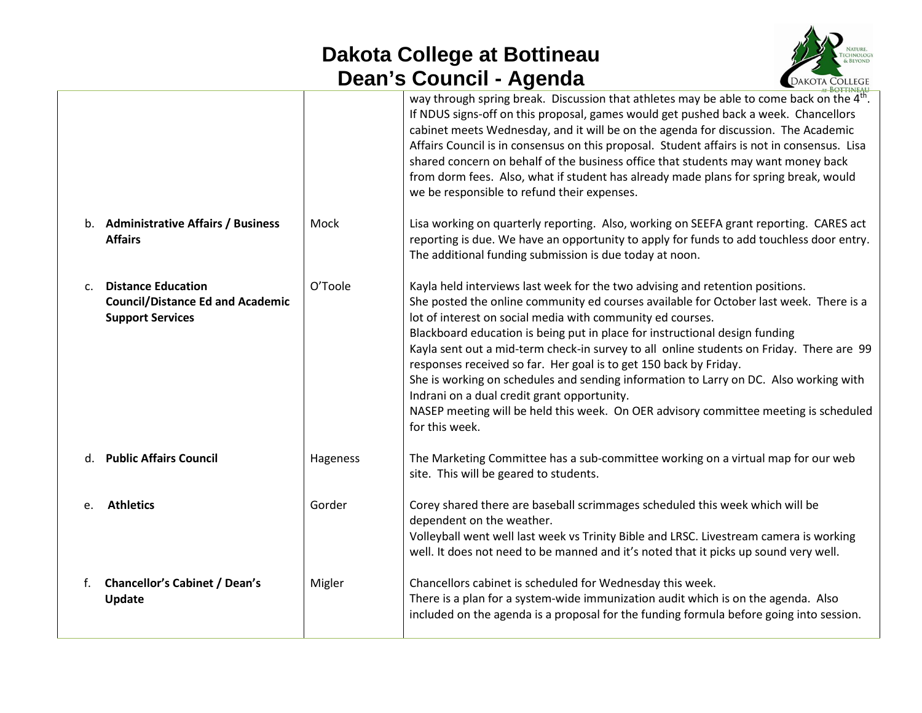## **Dakota College at Bottineau Dean's Council - Agenda**



|              |                                                                                                 |          | AT BOTTINEAU                                                                                                                                                                                                                                                                                                                                                                                                                                                                                                                                                                                                                                                                                                                            |
|--------------|-------------------------------------------------------------------------------------------------|----------|-----------------------------------------------------------------------------------------------------------------------------------------------------------------------------------------------------------------------------------------------------------------------------------------------------------------------------------------------------------------------------------------------------------------------------------------------------------------------------------------------------------------------------------------------------------------------------------------------------------------------------------------------------------------------------------------------------------------------------------------|
|              |                                                                                                 |          | way through spring break. Discussion that athletes may be able to come back on the 4 <sup>th</sup> .<br>If NDUS signs-off on this proposal, games would get pushed back a week. Chancellors<br>cabinet meets Wednesday, and it will be on the agenda for discussion. The Academic<br>Affairs Council is in consensus on this proposal. Student affairs is not in consensus. Lisa<br>shared concern on behalf of the business office that students may want money back<br>from dorm fees. Also, what if student has already made plans for spring break, would<br>we be responsible to refund their expenses.                                                                                                                            |
|              | b. Administrative Affairs / Business<br><b>Affairs</b>                                          | Mock     | Lisa working on quarterly reporting. Also, working on SEEFA grant reporting. CARES act<br>reporting is due. We have an opportunity to apply for funds to add touchless door entry.<br>The additional funding submission is due today at noon.                                                                                                                                                                                                                                                                                                                                                                                                                                                                                           |
| $C_{\rm{f}}$ | <b>Distance Education</b><br><b>Council/Distance Ed and Academic</b><br><b>Support Services</b> | O'Toole  | Kayla held interviews last week for the two advising and retention positions.<br>She posted the online community ed courses available for October last week. There is a<br>lot of interest on social media with community ed courses.<br>Blackboard education is being put in place for instructional design funding<br>Kayla sent out a mid-term check-in survey to all online students on Friday. There are 99<br>responses received so far. Her goal is to get 150 back by Friday.<br>She is working on schedules and sending information to Larry on DC. Also working with<br>Indrani on a dual credit grant opportunity.<br>NASEP meeting will be held this week. On OER advisory committee meeting is scheduled<br>for this week. |
|              | d. Public Affairs Council                                                                       | Hageness | The Marketing Committee has a sub-committee working on a virtual map for our web<br>site. This will be geared to students.                                                                                                                                                                                                                                                                                                                                                                                                                                                                                                                                                                                                              |
| e.           | <b>Athletics</b>                                                                                | Gorder   | Corey shared there are baseball scrimmages scheduled this week which will be<br>dependent on the weather.<br>Volleyball went well last week vs Trinity Bible and LRSC. Livestream camera is working<br>well. It does not need to be manned and it's noted that it picks up sound very well.                                                                                                                                                                                                                                                                                                                                                                                                                                             |
| f.           | <b>Chancellor's Cabinet / Dean's</b><br>Update                                                  | Migler   | Chancellors cabinet is scheduled for Wednesday this week.<br>There is a plan for a system-wide immunization audit which is on the agenda. Also<br>included on the agenda is a proposal for the funding formula before going into session.                                                                                                                                                                                                                                                                                                                                                                                                                                                                                               |